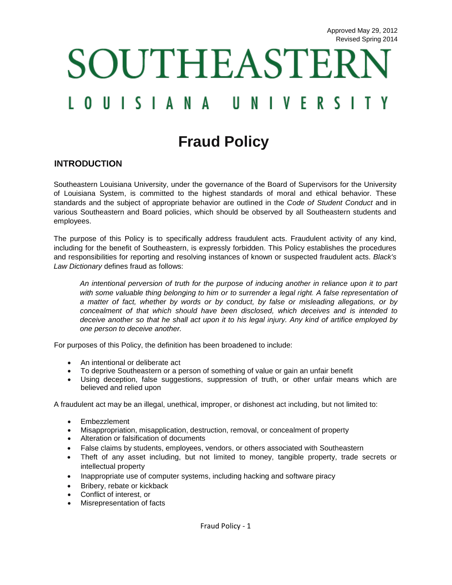# SOUTHEASTER UISIANA Ш NIVER ς

# **Fraud Policy**

#### **INTRODUCTION**

Southeastern Louisiana University, under the governance of the Board of Supervisors for the University of Louisiana System, is committed to the highest standards of moral and ethical behavior. These standards and the subject of appropriate behavior are outlined in the *Code of Student Conduct* and in various Southeastern and Board policies, which should be observed by all Southeastern students and employees.

The purpose of this Policy is to specifically address fraudulent acts. Fraudulent activity of any kind, including for the benefit of Southeastern, is expressly forbidden. This Policy establishes the procedures and responsibilities for reporting and resolving instances of known or suspected fraudulent acts. *Black's Law Dictionary* defines fraud as follows:

*An intentional perversion of truth for the purpose of inducing another in reliance upon it to part*  with some valuable thing belonging to him or to surrender a legal right. A false representation of *a matter of fact, whether by words or by conduct, by false or misleading allegations, or by concealment of that which should have been disclosed, which deceives and is intended to deceive another so that he shall act upon it to his legal injury. Any kind of artifice employed by one person to deceive another.* 

For purposes of this Policy, the definition has been broadened to include:

- An intentional or deliberate act
- To deprive Southeastern or a person of something of value or gain an unfair benefit
- Using deception, false suggestions, suppression of truth, or other unfair means which are believed and relied upon

A fraudulent act may be an illegal, unethical, improper, or dishonest act including, but not limited to:

- Embezzlement
- Misappropriation, misapplication, destruction, removal, or concealment of property
- Alteration or falsification of documents
- False claims by students, employees, vendors, or others associated with Southeastern
- Theft of any asset including, but not limited to money, tangible property, trade secrets or intellectual property
- Inappropriate use of computer systems, including hacking and software piracy
- Bribery, rebate or kickback
- Conflict of interest, or<br>• Misrepresentation of fa
- Misrepresentation of facts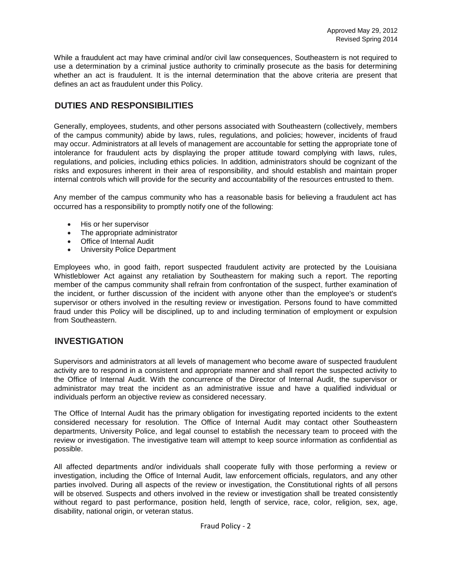While a fraudulent act may have criminal and/or civil law consequences, Southeastern is not required to use a determination by a criminal justice authority to criminally prosecute as the basis for determining whether an act is fraudulent. It is the internal determination that the above criteria are present that defines an act as fraudulent under this Policy.

# **DUTIES AND RESPONSIBILITIES**

Generally, employees, students, and other persons associated with Southeastern (collectively, members of the campus community) abide by laws, rules, regulations, and policies; however, incidents of fraud may occur. Administrators at all levels of management are accountable for setting the appropriate tone of intolerance for fraudulent acts by displaying the proper attitude toward complying with laws, rules, regulations, and policies, including ethics policies. In addition, administrators should be cognizant of the risks and exposures inherent in their area of responsibility, and should establish and maintain proper internal controls which will provide for the security and accountability of the resources entrusted to them.

Any member of the campus community who has a reasonable basis for believing a fraudulent act has occurred has a responsibility to promptly notify one of the following:

- His or her supervisor
- The appropriate administrator
- Office of Internal Audit
- University Police Department

Employees who, in good faith, report suspected fraudulent activity are protected by the Louisiana Whistleblower Act against any retaliation by Southeastern for making such a report. The reporting member of the campus community shall refrain from confrontation of the suspect, further examination of the incident, or further discussion of the incident with anyone other than the employee's or student's supervisor or others involved in the resulting review or investigation. Persons found to have committed fraud under this Policy will be disciplined, up to and including termination of employment or expulsion from Southeastern.

#### **INVESTIGATION**

Supervisors and administrators at all levels of management who become aware of suspected fraudulent activity are to respond in a consistent and appropriate manner and shall report the suspected activity to the Office of Internal Audit. With the concurrence of the Director of Internal Audit, the supervisor or administrator may treat the incident as an administrative issue and have a qualified individual or individuals perform an objective review as considered necessary.

The Office of Internal Audit has the primary obligation for investigating reported incidents to the extent considered necessary for resolution. The Office of Internal Audit may contact other Southeastern departments, University Police, and legal counsel to establish the necessary team to proceed with the review or investigation. The investigative team will attempt to keep source information as confidential as possible.

All affected departments and/or individuals shall cooperate fully with those performing a review or investigation, including the Office of Internal Audit, law enforcement officials, regulators, and any other parties involved. During all aspects of the review or investigation, the Constitutional rights of all persons will be observed. Suspects and others involved in the review or investigation shall be treated consistently without regard to past performance, position held, length of service, race, color, religion, sex, age, disability, national origin, or veteran status.